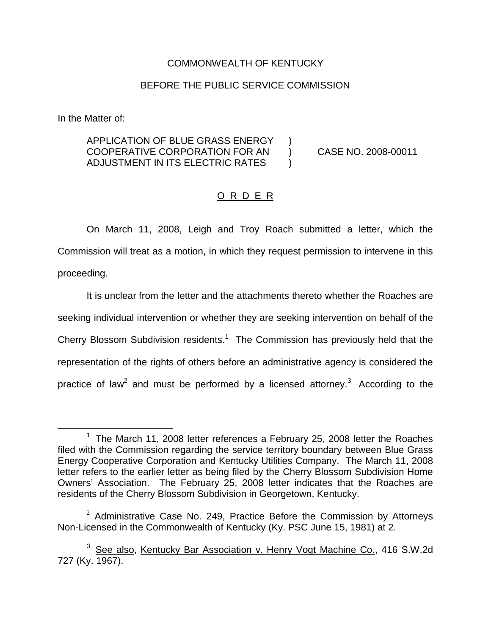## COMMONWEALTH OF KENTUCKY

## BEFORE THE PUBLIC SERVICE COMMISSION

In the Matter of:

## APPLICATION OF BLUE GRASS ENERGY ) COOPERATIVE CORPORATION FOR AN ) CASE NO. 2008-00011 ADJUSTMENT IN ITS ELECTRIC RATES  $\qquad$

## O R D E R

On March 11, 2008, Leigh and Troy Roach submitted a letter, which the Commission will treat as a motion, in which they request permission to intervene in this proceeding.

It is unclear from the letter and the attachments thereto whether the Roaches are seeking individual intervention or whether they are seeking intervention on behalf of the Cherry Blossom Subdivision residents.<sup>1</sup> The Commission has previously held that the representation of the rights of others before an administrative agency is considered the practice of law<sup>2</sup> and must be performed by a licensed attorney.<sup>3</sup> According to the

 $1$  The March 11, 2008 letter references a February 25, 2008 letter the Roaches filed with the Commission regarding the service territory boundary between Blue Grass Energy Cooperative Corporation and Kentucky Utilities Company. The March 11, 2008 letter refers to the earlier letter as being filed by the Cherry Blossom Subdivision Home Owners' Association. The February 25, 2008 letter indicates that the Roaches are residents of the Cherry Blossom Subdivision in Georgetown, Kentucky.

 $2$  Administrative Case No. 249, Practice Before the Commission by Attorneys Non-Licensed in the Commonwealth of Kentucky (Ky. PSC June 15, 1981) at 2.

<sup>&</sup>lt;sup>3</sup> See also, Kentucky Bar Association v. Henry Vogt Machine Co., 416 S.W.2d 727 (Ky. 1967).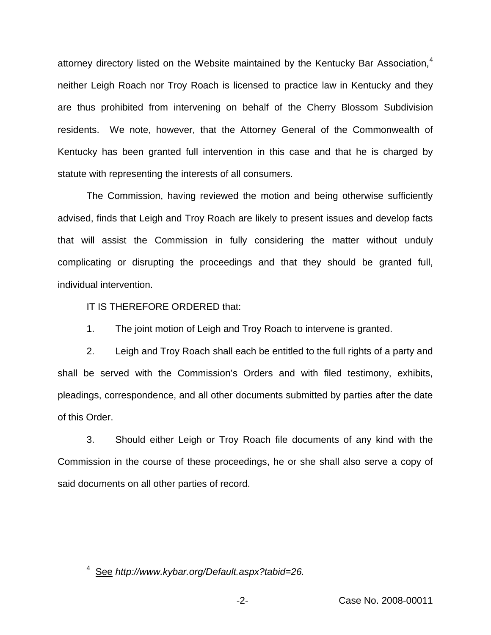attorney directory listed on the Website maintained by the Kentucky Bar Association,<sup>4</sup> neither Leigh Roach nor Troy Roach is licensed to practice law in Kentucky and they are thus prohibited from intervening on behalf of the Cherry Blossom Subdivision residents. We note, however, that the Attorney General of the Commonwealth of Kentucky has been granted full intervention in this case and that he is charged by statute with representing the interests of all consumers.

The Commission, having reviewed the motion and being otherwise sufficiently advised, finds that Leigh and Troy Roach are likely to present issues and develop facts that will assist the Commission in fully considering the matter without unduly complicating or disrupting the proceedings and that they should be granted full, individual intervention.

IT IS THEREFORE ORDERED that:

1. The joint motion of Leigh and Troy Roach to intervene is granted.

2. Leigh and Troy Roach shall each be entitled to the full rights of a party and shall be served with the Commission's Orders and with filed testimony, exhibits, pleadings, correspondence, and all other documents submitted by parties after the date of this Order.

3. Should either Leigh or Troy Roach file documents of any kind with the Commission in the course of these proceedings, he or she shall also serve a copy of said documents on all other parties of record.

<sup>4</sup> See *http://www.kybar.org/Default.aspx?tabid=26.*